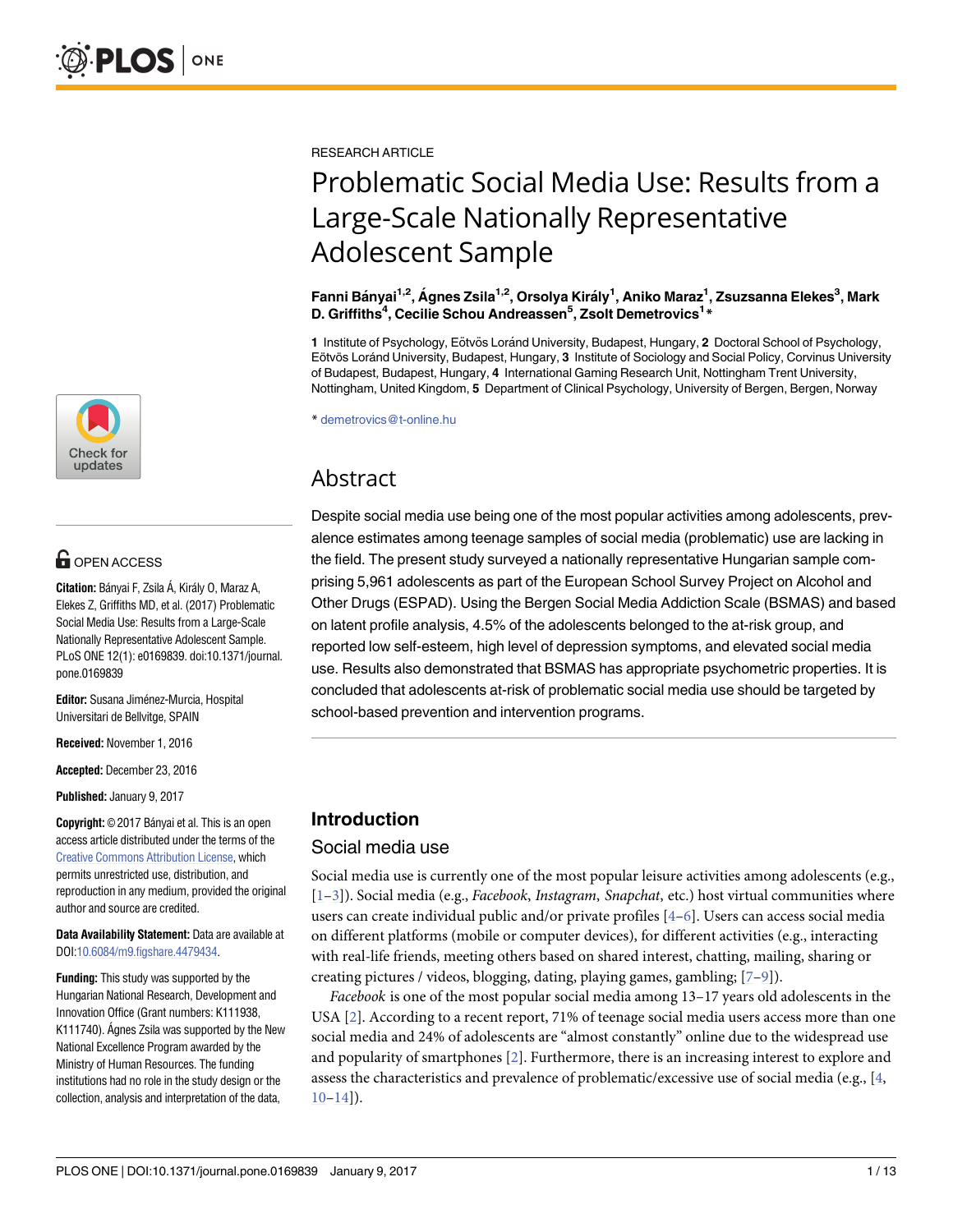

# **G** OPEN ACCESS

**Citation:** Bányai F, Zsila Á, Király O, Maraz A, Elekes Z, Griffiths MD, et al. (2017) Problematic Social Media Use: Results from a Large-Scale Nationally Representative Adolescent Sample. PLoS ONE 12(1): e0169839. doi:10.1371/journal. pone.0169839

**Editor:** Susana Jiménez-Murcia, Hospital Universitari de Bellvitge, SPAIN

**Received:** November 1, 2016

**Accepted:** December 23, 2016

**Published:** January 9, 2017

**Copyright:** © 2017 Bányai et al. This is an open access article distributed under the terms of the Creative Commons [Attribution](http://creativecommons.org/licenses/by/4.0/) License, which permits unrestricted use, distribution, and reproduction in any medium, provided the original author and source are credited.

**Data Availability Statement:** Data are available at DOI[:10.6084/m9.figshare.4479434](http://dx.doi.org/10.6084/m9.figshare.4479434).

**Funding:** This study was supported by the Hungarian National Research, Development and Innovation Office (Grant numbers: K111938, K111740). Agnes Zsila was supported by the New National Excellence Program awarded by the Ministry of Human Resources. The funding institutions had no role in the study design or the collection, analysis and interpretation of the data,

<span id="page-0-0"></span>RESEARCH ARTICLE

# Problematic Social Media Use: Results from a Large-Scale Nationally Representative Adolescent Sample

**Fanni Ba´nyai1,2, A´ gnes Zsila1,2, Orsolya Kira´ly1 , Aniko Maraz1 , Zsuzsanna Elekes3 , Mark D. Griffiths4 , Cecilie Schou Andreassen5 , Zsolt Demetrovics1 \***

1 Institute of Psychology, Eötvös Loránd University, Budapest, Hungary, 2 Doctoral School of Psychology, Eötvös Loránd University, Budapest, Hungary, 3 Institute of Sociology and Social Policy, Corvinus University of Budapest, Budapest, Hungary, **4** International Gaming Research Unit, Nottingham Trent University, Nottingham, United Kingdom, **5** Department of Clinical Psychology, University of Bergen, Bergen, Norway

\* demetrovics@t-online.hu

# Abstract

Despite social media use being one of the most popular activities among adolescents, prevalence estimates among teenage samples of social media (problematic) use are lacking in the field. The present study surveyed a nationally representative Hungarian sample comprising 5,961 adolescents as part of the European School Survey Project on Alcohol and Other Drugs (ESPAD). Using the Bergen Social Media Addiction Scale (BSMAS) and based on latent profile analysis, 4.5% of the adolescents belonged to the at-risk group, and reported low self-esteem, high level of depression symptoms, and elevated social media use. Results also demonstrated that BSMAS has appropriate psychometric properties. It is concluded that adolescents at-risk of problematic social media use should be targeted by school-based prevention and intervention programs.

# **Introduction**

# Social media use

Social media use is currently one of the most popular leisure activities among adolescents (e.g., [\[1–3](#page-10-0)]). Social media (e.g., *Facebook*, *Instagram*, *Snapchat*, etc.) host virtual communities where users can create individual public and/or private profiles [\[4–6](#page-10-0)]. Users can access social media on different platforms (mobile or computer devices), for different activities (e.g., interacting with real-life friends, meeting others based on shared interest, chatting, mailing, sharing or creating pictures / videos, blogging, dating, playing games, gambling; [\[7–9](#page-10-0)]).

*Facebook* is one of the most popular social media among 13–17 years old adolescents in the USA [[2](#page-10-0)]. According to a recent report, 71% of teenage social media users access more than one social media and 24% of adolescents are "almost constantly" online due to the widespread use and popularity of smartphones [\[2](#page-10-0)]. Furthermore, there is an increasing interest to explore and assess the characteristics and prevalence of problematic/excessive use of social media (e.g., [[4](#page-10-0),  $10-14$ ]).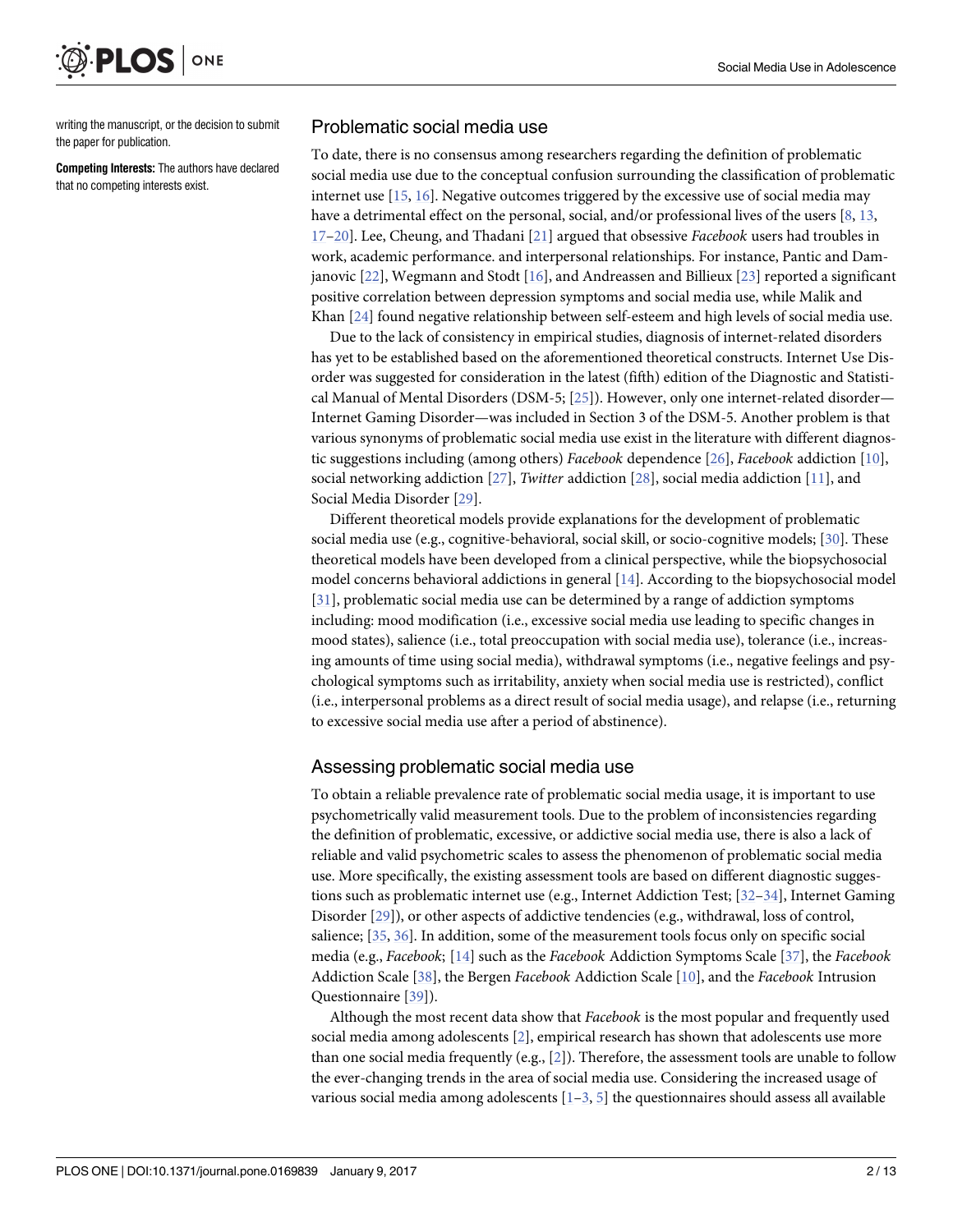<span id="page-1-0"></span>

writing the manuscript, or the decision to submit the paper for publication.

**Competing Interests:** The authors have declared that no competing interests exist.

#### Problematic social media use

To date, there is no consensus among researchers regarding the definition of problematic social media use due to the conceptual confusion surrounding the classification of problematic internet use [[15](#page-10-0), [16](#page-10-0)]. Negative outcomes triggered by the excessive use of social media may have a detrimental effect on the personal, social, and/or professional lives of the users [[8,](#page-10-0) [13,](#page-10-0) [17–20](#page-10-0)]. Lee, Cheung, and Thadani [[21](#page-10-0)] argued that obsessive *Facebook* users had troubles in work, academic performance. and interpersonal relationships. For instance, Pantic and Damjanovic [\[22\]](#page-10-0), Wegmann and Stodt [[16](#page-10-0)], and Andreassen and Billieux [\[23\]](#page-11-0) reported a significant positive correlation between depression symptoms and social media use, while Malik and Khan [\[24\]](#page-11-0) found negative relationship between self-esteem and high levels of social media use.

Due to the lack of consistency in empirical studies, diagnosis of internet-related disorders has yet to be established based on the aforementioned theoretical constructs. Internet Use Disorder was suggested for consideration in the latest (fifth) edition of the Diagnostic and Statistical Manual of Mental Disorders (DSM-5; [\[25\]](#page-11-0)). However, only one internet-related disorder— Internet Gaming Disorder—was included in Section 3 of the DSM-5. Another problem is that various synonyms of problematic social media use exist in the literature with different diagnostic suggestions including (among others) *Facebook* dependence [\[26\]](#page-11-0), *Facebook* addiction [\[10\]](#page-10-0), social networking addiction [[27](#page-11-0)], *Twitter* addiction [\[28\]](#page-11-0), social media addiction [[11](#page-10-0)], and Social Media Disorder [[29](#page-11-0)].

Different theoretical models provide explanations for the development of problematic social media use (e.g., cognitive-behavioral, social skill, or socio-cognitive models; [\[30\]](#page-11-0). These theoretical models have been developed from a clinical perspective, while the biopsychosocial model concerns behavioral addictions in general [[14](#page-10-0)]. According to the biopsychosocial model [\[31\]](#page-11-0), problematic social media use can be determined by a range of addiction symptoms including: mood modification (i.e., excessive social media use leading to specific changes in mood states), salience (i.e., total preoccupation with social media use), tolerance (i.e., increasing amounts of time using social media), withdrawal symptoms (i.e., negative feelings and psychological symptoms such as irritability, anxiety when social media use is restricted), conflict (i.e., interpersonal problems as a direct result of social media usage), and relapse (i.e., returning to excessive social media use after a period of abstinence).

#### Assessing problematic social media use

To obtain a reliable prevalence rate of problematic social media usage, it is important to use psychometrically valid measurement tools. Due to the problem of inconsistencies regarding the definition of problematic, excessive, or addictive social media use, there is also a lack of reliable and valid psychometric scales to assess the phenomenon of problematic social media use. More specifically, the existing assessment tools are based on different diagnostic suggestions such as problematic internet use (e.g., Internet Addiction Test; [[32](#page-11-0)–[34](#page-11-0)], Internet Gaming Disorder [\[29\]](#page-11-0)), or other aspects of addictive tendencies (e.g., withdrawal, loss of control, salience; [\[35,](#page-11-0) [36\]](#page-11-0). In addition, some of the measurement tools focus only on specific social media (e.g., *Facebook*; [\[14\]](#page-10-0) such as the *Facebook* Addiction Symptoms Scale [[37](#page-11-0)], the *Facebook* Addiction Scale [\[38\]](#page-11-0), the Bergen *Facebook* Addiction Scale [[10](#page-10-0)], and the *Facebook* Intrusion Questionnaire [[39](#page-11-0)]).

Although the most recent data show that *Facebook* is the most popular and frequently used social media among adolescents [[2](#page-10-0)], empirical research has shown that adolescents use more than one social media frequently (e.g.,  $[2]$ ). Therefore, the assessment tools are unable to follow the ever-changing trends in the area of social media use. Considering the increased usage of various social media among adolescents  $[1-3, 5]$  $[1-3, 5]$  the questionnaires should assess all available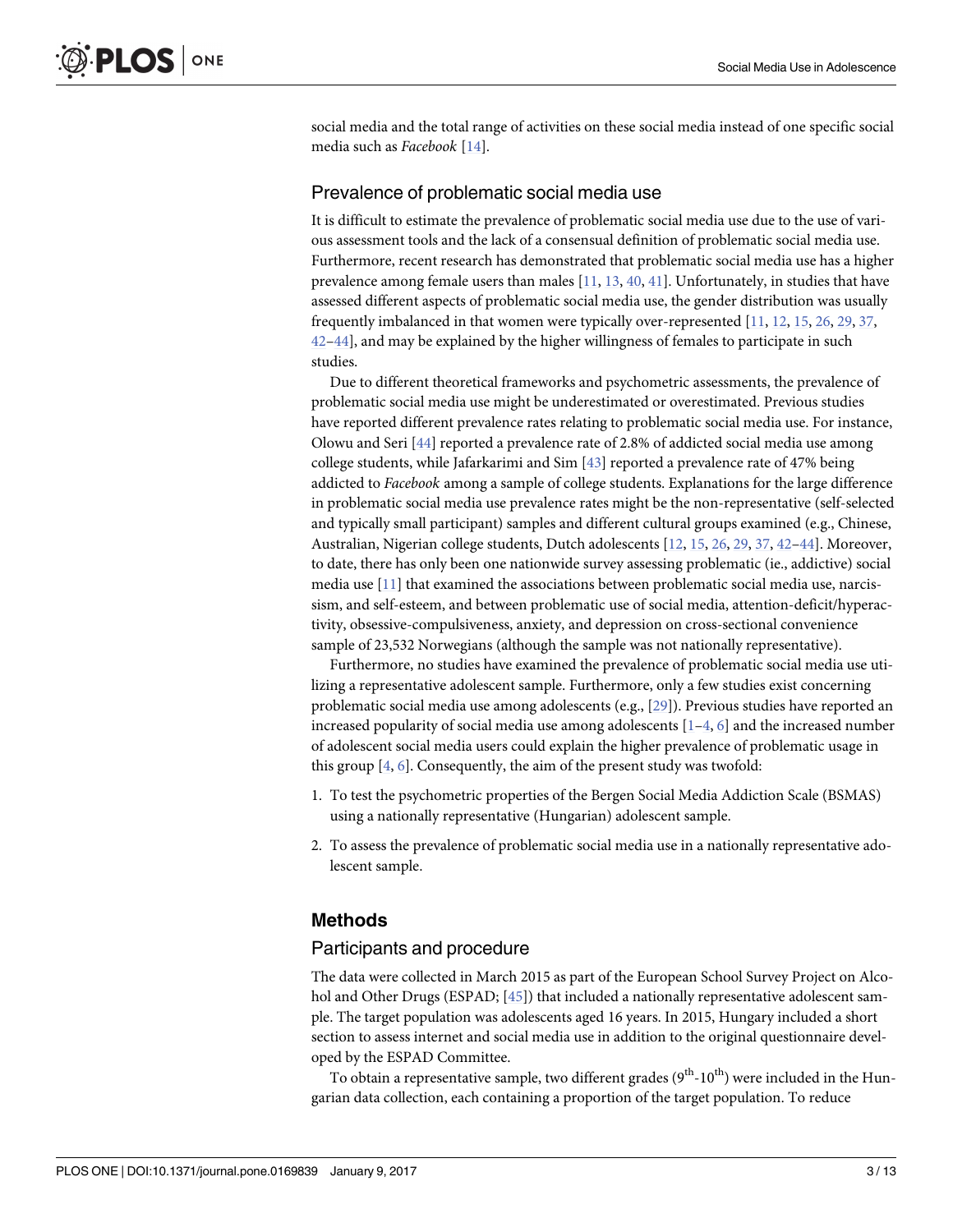<span id="page-2-0"></span>social media and the total range of activities on these social media instead of one specific social media such as *Facebook* [[14](#page-10-0)].

#### Prevalence of problematic social media use

It is difficult to estimate the prevalence of problematic social media use due to the use of various assessment tools and the lack of a consensual definition of problematic social media use. Furthermore, recent research has demonstrated that problematic social media use has a higher prevalence among female users than males [[11](#page-10-0), [13](#page-10-0), [40](#page-11-0), [41](#page-11-0)]. Unfortunately, in studies that have assessed different aspects of problematic social media use, the gender distribution was usually frequently imbalanced in that women were typically over-represented [\[11,](#page-10-0) [12,](#page-10-0) [15,](#page-10-0) [26,](#page-11-0) [29,](#page-11-0) [37,](#page-11-0) [42–44](#page-11-0)], and may be explained by the higher willingness of females to participate in such studies.

Due to different theoretical frameworks and psychometric assessments, the prevalence of problematic social media use might be underestimated or overestimated. Previous studies have reported different prevalence rates relating to problematic social media use. For instance, Olowu and Seri [[44](#page-11-0)] reported a prevalence rate of 2.8% of addicted social media use among college students, while Jafarkarimi and Sim [\[43\]](#page-11-0) reported a prevalence rate of 47% being addicted to *Facebook* among a sample of college students. Explanations for the large difference in problematic social media use prevalence rates might be the non-representative (self-selected and typically small participant) samples and different cultural groups examined (e.g., Chinese, Australian, Nigerian college students, Dutch adolescents [\[12,](#page-10-0) [15,](#page-10-0) [26,](#page-11-0) [29,](#page-11-0) [37,](#page-11-0) [42–44\]](#page-11-0). Moreover, to date, there has only been one nationwide survey assessing problematic (ie., addictive) social media use [[11](#page-10-0)] that examined the associations between problematic social media use, narcissism, and self-esteem, and between problematic use of social media, attention-deficit/hyperactivity, obsessive-compulsiveness, anxiety, and depression on cross-sectional convenience sample of 23,532 Norwegians (although the sample was not nationally representative).

Furthermore, no studies have examined the prevalence of problematic social media use utilizing a representative adolescent sample. Furthermore, only a few studies exist concerning problematic social media use among adolescents (e.g., [[29](#page-11-0)]). Previous studies have reported an increased popularity of social media use among adolescents  $[1-4, 6]$  $[1-4, 6]$  $[1-4, 6]$  $[1-4, 6]$  $[1-4, 6]$  $[1-4, 6]$  and the increased number of adolescent social media users could explain the higher prevalence of problematic usage in this group  $[4, 6]$  $[4, 6]$  $[4, 6]$  $[4, 6]$ . Consequently, the aim of the present study was twofold:

- 1. To test the psychometric properties of the Bergen Social Media Addiction Scale (BSMAS) using a nationally representative (Hungarian) adolescent sample.
- 2. To assess the prevalence of problematic social media use in a nationally representative adolescent sample.

#### **Methods**

#### Participants and procedure

The data were collected in March 2015 as part of the European School Survey Project on Alco-hol and Other Drugs (ESPAD; [\[45\]](#page-11-0)) that included a nationally representative adolescent sample. The target population was adolescents aged 16 years. In 2015, Hungary included a short section to assess internet and social media use in addition to the original questionnaire developed by the ESPAD Committee.

To obtain a representative sample, two different grades  $(9<sup>th</sup>-10<sup>th</sup>)$  were included in the Hungarian data collection, each containing a proportion of the target population. To reduce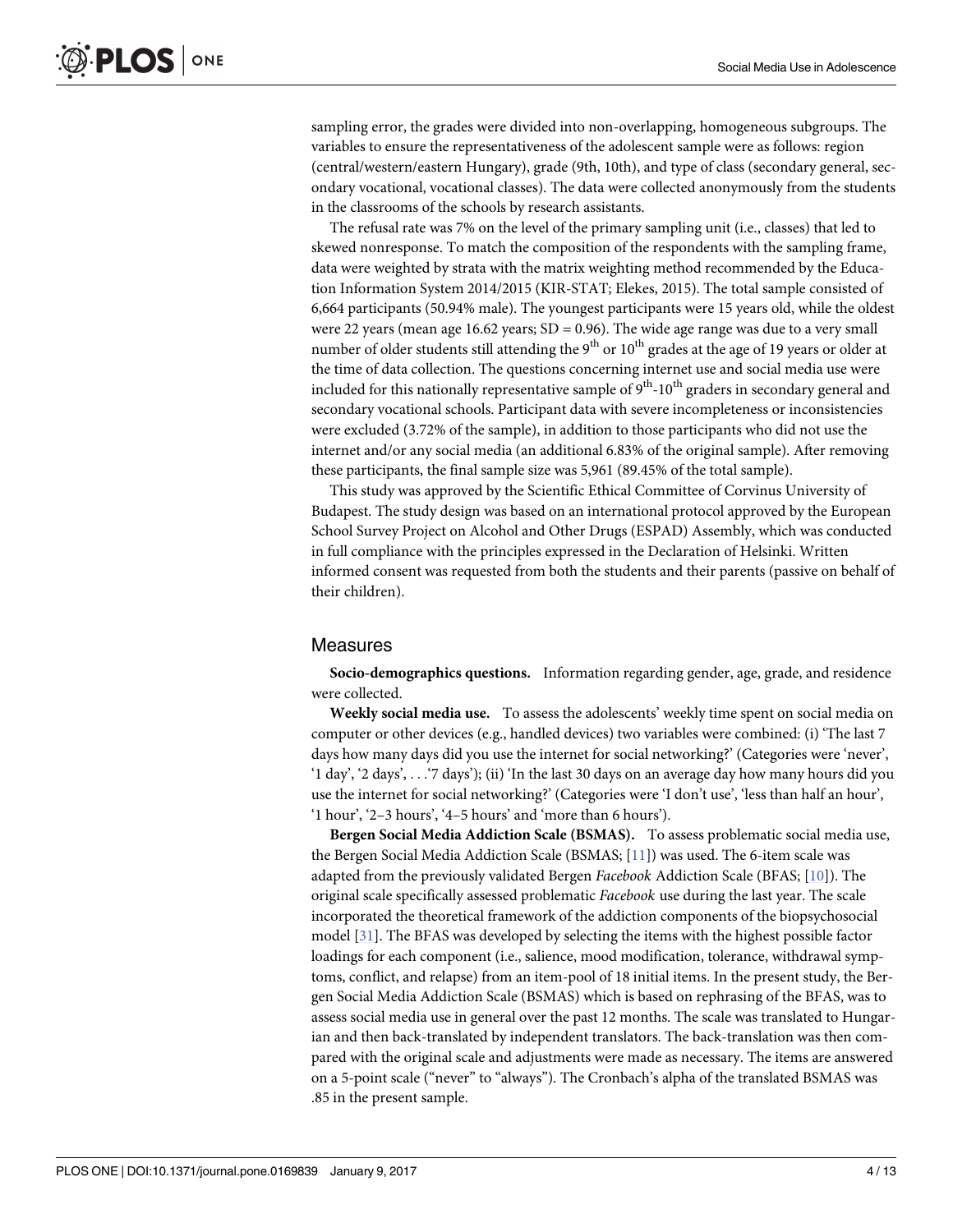sampling error, the grades were divided into non-overlapping, homogeneous subgroups. The variables to ensure the representativeness of the adolescent sample were as follows: region (central/western/eastern Hungary), grade (9th, 10th), and type of class (secondary general, secondary vocational, vocational classes). The data were collected anonymously from the students in the classrooms of the schools by research assistants.

The refusal rate was 7% on the level of the primary sampling unit (i.e., classes) that led to skewed nonresponse. To match the composition of the respondents with the sampling frame, data were weighted by strata with the matrix weighting method recommended by the Education Information System 2014/2015 (KIR-STAT; Elekes, 2015). The total sample consisted of 6,664 participants (50.94% male). The youngest participants were 15 years old, while the oldest were 22 years (mean age 16.62 years;  $SD = 0.96$ ). The wide age range was due to a very small number of older students still attending the  $9<sup>th</sup>$  or  $10<sup>th</sup>$  grades at the age of 19 years or older at the time of data collection. The questions concerning internet use and social media use were included for this nationally representative sample of  $9<sup>th</sup>$ -10<sup>th</sup> graders in secondary general and secondary vocational schools. Participant data with severe incompleteness or inconsistencies were excluded (3.72% of the sample), in addition to those participants who did not use the internet and/or any social media (an additional 6.83% of the original sample). After removing these participants, the final sample size was 5,961 (89.45% of the total sample).

This study was approved by the Scientific Ethical Committee of Corvinus University of Budapest. The study design was based on an international protocol approved by the European School Survey Project on Alcohol and Other Drugs (ESPAD) Assembly, which was conducted in full compliance with the principles expressed in the Declaration of Helsinki. Written informed consent was requested from both the students and their parents (passive on behalf of their children).

#### Measures

**Socio-demographics questions.** Information regarding gender, age, grade, and residence were collected.

**Weekly social media use.** To assess the adolescents' weekly time spent on social media on computer or other devices (e.g., handled devices) two variables were combined: (i) 'The last 7 days how many days did you use the internet for social networking?' (Categories were 'never', '1 day', '2 days', . . .'7 days'); (ii) 'In the last 30 days on an average day how many hours did you use the internet for social networking?' (Categories were 'I don't use', 'less than half an hour', '1 hour', '2–3 hours', '4–5 hours' and 'more than 6 hours').

**Bergen Social Media Addiction Scale (BSMAS).** To assess problematic social media use, the Bergen Social Media Addiction Scale (BSMAS; [[11](#page-10-0)]) was used. The 6-item scale was adapted from the previously validated Bergen *Facebook* Addiction Scale (BFAS; [\[10\]](#page-10-0)). The original scale specifically assessed problematic *Facebook* use during the last year. The scale incorporated the theoretical framework of the addiction components of the biopsychosocial model [[31](#page-11-0)]. The BFAS was developed by selecting the items with the highest possible factor loadings for each component (i.e., salience, mood modification, tolerance, withdrawal symptoms, conflict, and relapse) from an item-pool of 18 initial items. In the present study, the Bergen Social Media Addiction Scale (BSMAS) which is based on rephrasing of the BFAS, was to assess social media use in general over the past 12 months. The scale was translated to Hungarian and then back-translated by independent translators. The back-translation was then compared with the original scale and adjustments were made as necessary. The items are answered on a 5-point scale ("never" to "always"). The Cronbach's alpha of the translated BSMAS was .85 in the present sample.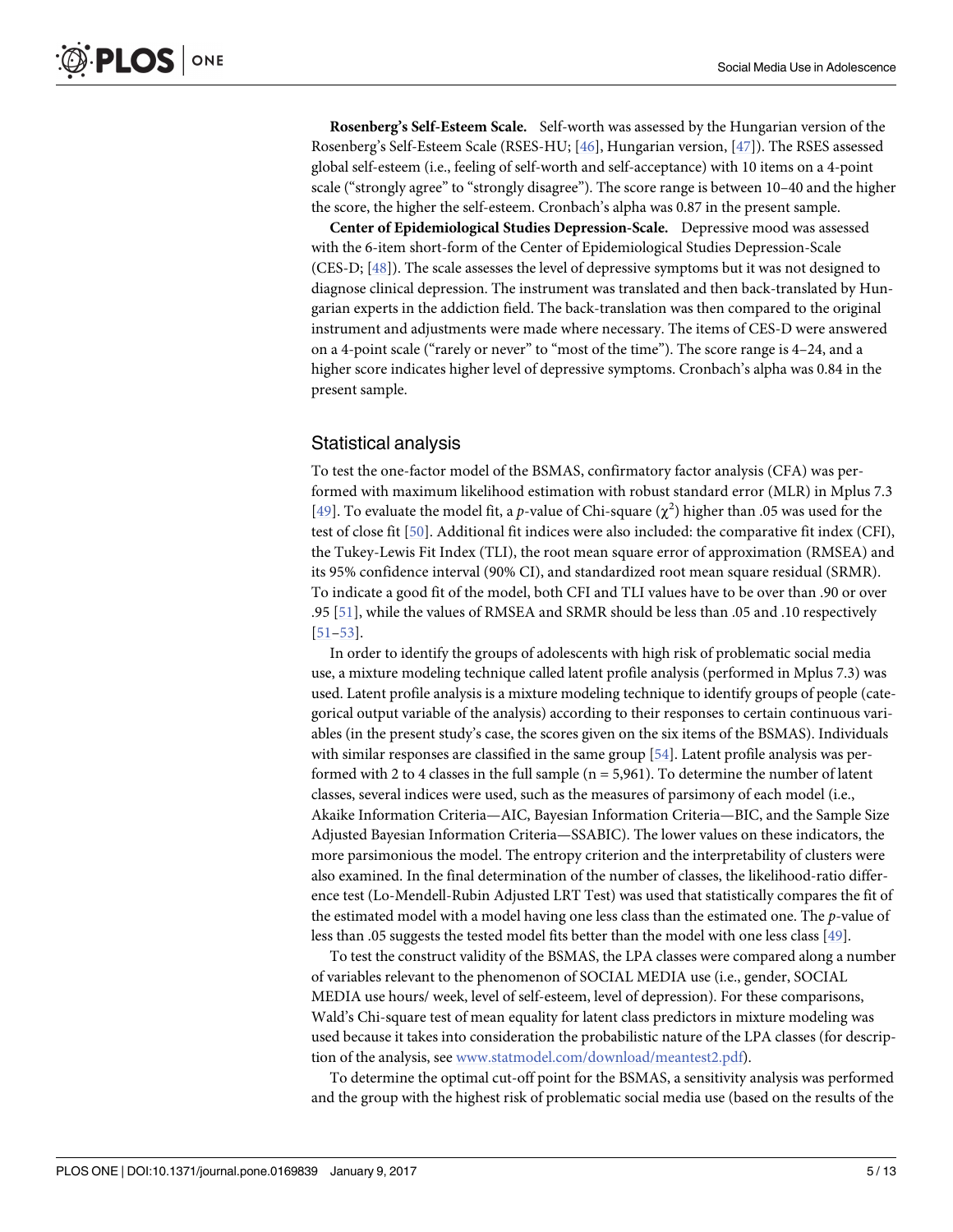<span id="page-4-0"></span>**Rosenberg's Self-Esteem Scale.** Self-worth was assessed by the Hungarian version of the Rosenberg's Self-Esteem Scale (RSES-HU; [[46](#page-11-0)], Hungarian version, [\[47\]](#page-12-0)). The RSES assessed global self-esteem (i.e., feeling of self-worth and self-acceptance) with 10 items on a 4-point scale ("strongly agree" to "strongly disagree"). The score range is between 10–40 and the higher the score, the higher the self-esteem. Cronbach's alpha was 0.87 in the present sample.

**Center of Epidemiological Studies Depression-Scale.** Depressive mood was assessed with the 6-item short-form of the Center of Epidemiological Studies Depression-Scale (CES-D; [\[48\]](#page-12-0)). The scale assesses the level of depressive symptoms but it was not designed to diagnose clinical depression. The instrument was translated and then back-translated by Hungarian experts in the addiction field. The back-translation was then compared to the original instrument and adjustments were made where necessary. The items of CES-D were answered on a 4-point scale ("rarely or never" to "most of the time"). The score range is 4–24, and a higher score indicates higher level of depressive symptoms. Cronbach's alpha was 0.84 in the present sample.

### Statistical analysis

To test the one-factor model of the BSMAS, confirmatory factor analysis (CFA) was performed with maximum likelihood estimation with robust standard error (MLR) in Mplus 7.3 [ $49$ ]. To evaluate the model fit, a p-value of Chi-square ( $\chi^2$ ) higher than .05 was used for the test of close fit [[50\]](#page-12-0). Additional fit indices were also included: the comparative fit index (CFI), the Tukey-Lewis Fit Index (TLI), the root mean square error of approximation (RMSEA) and its 95% confidence interval (90% CI), and standardized root mean square residual (SRMR). To indicate a good fit of the model, both CFI and TLI values have to be over than .90 or over .95 [[51](#page-12-0)], while the values of RMSEA and SRMR should be less than .05 and .10 respectively [\[51–53\]](#page-12-0).

In order to identify the groups of adolescents with high risk of problematic social media use, a mixture modeling technique called latent profile analysis (performed in Mplus 7.3) was used. Latent profile analysis is a mixture modeling technique to identify groups of people (categorical output variable of the analysis) according to their responses to certain continuous variables (in the present study's case, the scores given on the six items of the BSMAS). Individuals with similar responses are classified in the same group [[54](#page-12-0)]. Latent profile analysis was performed with 2 to 4 classes in the full sample  $(n = 5,961)$ . To determine the number of latent classes, several indices were used, such as the measures of parsimony of each model (i.e., Akaike Information Criteria—AIC, Bayesian Information Criteria—BIC, and the Sample Size Adjusted Bayesian Information Criteria—SSABIC). The lower values on these indicators, the more parsimonious the model. The entropy criterion and the interpretability of clusters were also examined. In the final determination of the number of classes, the likelihood-ratio difference test (Lo-Mendell-Rubin Adjusted LRT Test) was used that statistically compares the fit of the estimated model with a model having one less class than the estimated one. The *p*-value of less than .05 suggests the tested model fits better than the model with one less class [\[49](#page-12-0)].

To test the construct validity of the BSMAS, the LPA classes were compared along a number of variables relevant to the phenomenon of SOCIAL MEDIA use (i.e., gender, SOCIAL MEDIA use hours/ week, level of self-esteem, level of depression). For these comparisons, Wald's Chi-square test of mean equality for latent class predictors in mixture modeling was used because it takes into consideration the probabilistic nature of the LPA classes (for description of the analysis, see [www.statmodel.com/download/meantest2.pdf\)](http://www.statmodel.com/download/meantest2.pdf).

To determine the optimal cut-off point for the BSMAS, a sensitivity analysis was performed and the group with the highest risk of problematic social media use (based on the results of the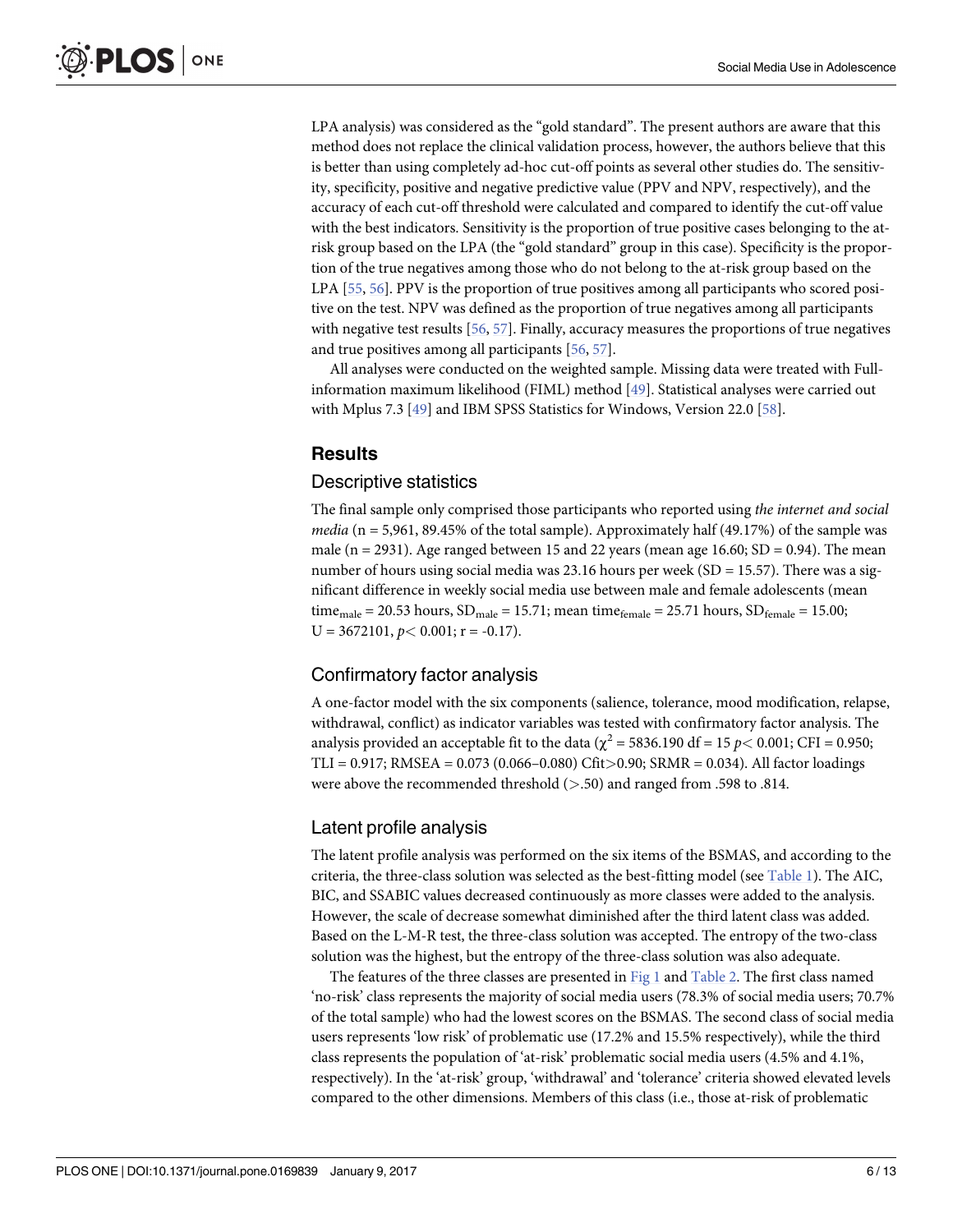<span id="page-5-0"></span>LPA analysis) was considered as the "gold standard". The present authors are aware that this method does not replace the clinical validation process, however, the authors believe that this is better than using completely ad-hoc cut-off points as several other studies do. The sensitivity, specificity, positive and negative predictive value (PPV and NPV, respectively), and the accuracy of each cut-off threshold were calculated and compared to identify the cut-off value with the best indicators. Sensitivity is the proportion of true positive cases belonging to the atrisk group based on the LPA (the "gold standard" group in this case). Specificity is the proportion of the true negatives among those who do not belong to the at-risk group based on the LPA [\[55,](#page-12-0) [56\]](#page-12-0). PPV is the proportion of true positives among all participants who scored positive on the test. NPV was defined as the proportion of true negatives among all participants with negative test results [[56](#page-12-0), [57](#page-12-0)]. Finally, accuracy measures the proportions of true negatives and true positives among all participants [[56](#page-12-0), [57](#page-12-0)].

All analyses were conducted on the weighted sample. Missing data were treated with Fullinformation maximum likelihood (FIML) method [\[49\]](#page-12-0). Statistical analyses were carried out with Mplus 7.3 [\[49\]](#page-12-0) and IBM SPSS Statistics for Windows, Version 22.0 [[58](#page-12-0)].

# **Results**

#### Descriptive statistics

The final sample only comprised those participants who reported using *the internet and social media* (n = 5,961, 89.45% of the total sample). Approximately half (49.17%) of the sample was male (n = 2931). Age ranged between 15 and 22 years (mean age 16.60;  $SD = 0.94$ ). The mean number of hours using social media was 23.16 hours per week ( $SD = 15.57$ ). There was a significant difference in weekly social media use between male and female adolescents (mean time<sub>male</sub> = 20.53 hours, SD<sub>male</sub> = 15.71; mean time<sub>female</sub> = 25.71 hours, SD<sub>female</sub> = 15.00;  $U = 3672101, p < 0.001; r = -0.17$ .

# Confirmatory factor analysis

A one-factor model with the six components (salience, tolerance, mood modification, relapse, withdrawal, conflict) as indicator variables was tested with confirmatory factor analysis. The analysis provided an acceptable fit to the data ( $\chi^2$  = 5836.190 df = 15 *p* < 0.001; CFI = 0.950; TLI = 0.917; RMSEA = 0.073 (0.066–0.080) Cfit*>*0.90; SRMR = 0.034). All factor loadings were above the recommended threshold (*>*.50) and ranged from .598 to .814.

#### Latent profile analysis

The latent profile analysis was performed on the six items of the BSMAS, and according to the criteria, the three-class solution was selected as the best-fitting model (see [Table](#page-6-0) 1). The AIC, BIC, and SSABIC values decreased continuously as more classes were added to the analysis. However, the scale of decrease somewhat diminished after the third latent class was added. Based on the L-M-R test, the three-class solution was accepted. The entropy of the two-class solution was the highest, but the entropy of the three-class solution was also adequate.

The features of the three classes are presented in [Fig](#page-6-0) 1 and [Table](#page-7-0) 2. The first class named 'no-risk' class represents the majority of social media users (78.3% of social media users; 70.7% of the total sample) who had the lowest scores on the BSMAS. The second class of social media users represents 'low risk' of problematic use (17.2% and 15.5% respectively), while the third class represents the population of 'at-risk' problematic social media users (4.5% and 4.1%, respectively). In the 'at-risk' group, 'withdrawal' and 'tolerance' criteria showed elevated levels compared to the other dimensions. Members of this class (i.e., those at-risk of problematic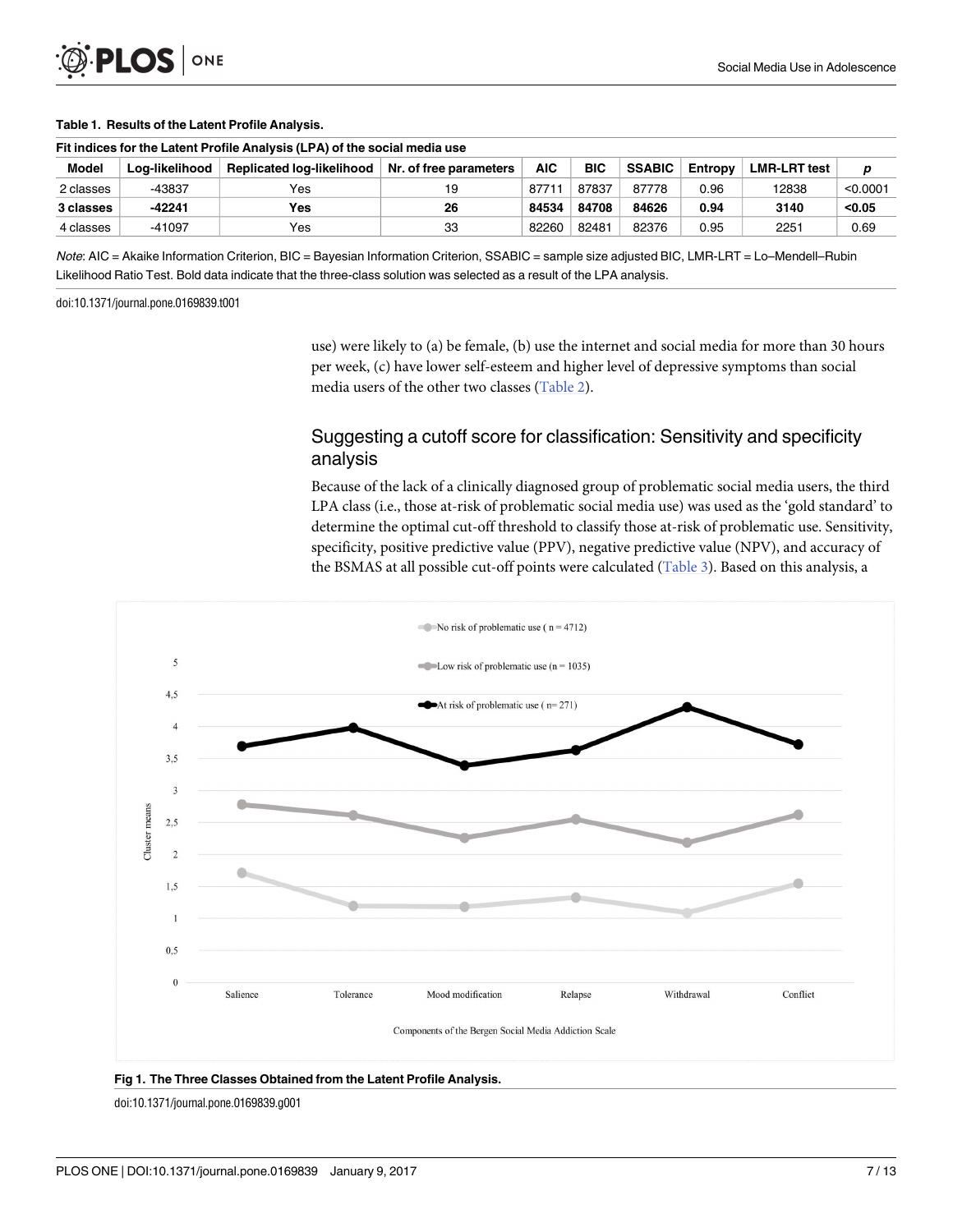<span id="page-6-0"></span>

#### **[Table](#page-5-0) 1. Results of the Latent Profile Analysis.**

| Fit indices for the Latent Profile Analysis (LPA) of the social media use |                |                           |                        |       |            |               |         |                     |          |
|---------------------------------------------------------------------------|----------------|---------------------------|------------------------|-------|------------|---------------|---------|---------------------|----------|
| <b>Model</b>                                                              | Log-likelihood | Replicated log-likelihood | Nr. of free parameters | AIC   | <b>BIC</b> | <b>SSABIC</b> | Entropy | <b>LMR-LRT test</b> | D        |
| 2 classes                                                                 | -43837         | Yes                       | 19                     | 87711 | 87837      | 87778         | 0.96    | 12838               | < 0.0001 |
| 3 classes                                                                 | -42241         | Yes                       | 26                     | 84534 | 84708      | 84626         | 0.94    | 3140                | < 0.05   |
| 4 classes                                                                 | $-41097$       | Yes                       | 33                     | 82260 | 82481      | 82376         | 0.95    | 2251                | 0.69     |

Note: AIC = Akaike Information Criterion, BIC = Bayesian Information Criterion, SSABIC = sample size adjusted BIC, LMR-LRT = Lo–Mendell–Rubin Likelihood Ratio Test. Bold data indicate that the three-class solution was selected as a result of the LPA analysis.

doi:10.1371/journal.pone.0169839.t001

use) were likely to (a) be female, (b) use the internet and social media for more than 30 hours per week, (c) have lower self-esteem and higher level of depressive symptoms than social media users of the other two classes ([Table](#page-7-0) 2).

# Suggesting a cutoff score for classification: Sensitivity and specificity analysis

Because of the lack of a clinically diagnosed group of problematic social media users, the third LPA class (i.e., those at-risk of problematic social media use) was used as the 'gold standard' to determine the optimal cut-off threshold to classify those at-risk of problematic use. Sensitivity, specificity, positive predictive value (PPV), negative predictive value (NPV), and accuracy of the BSMAS at all possible cut-off points were calculated ([Table](#page-7-0) 3). Based on this analysis, a



**[Fig](#page-5-0) 1. The Three Classes Obtained from the Latent Profile Analysis.**

doi:10.1371/journal.pone.0169839.g001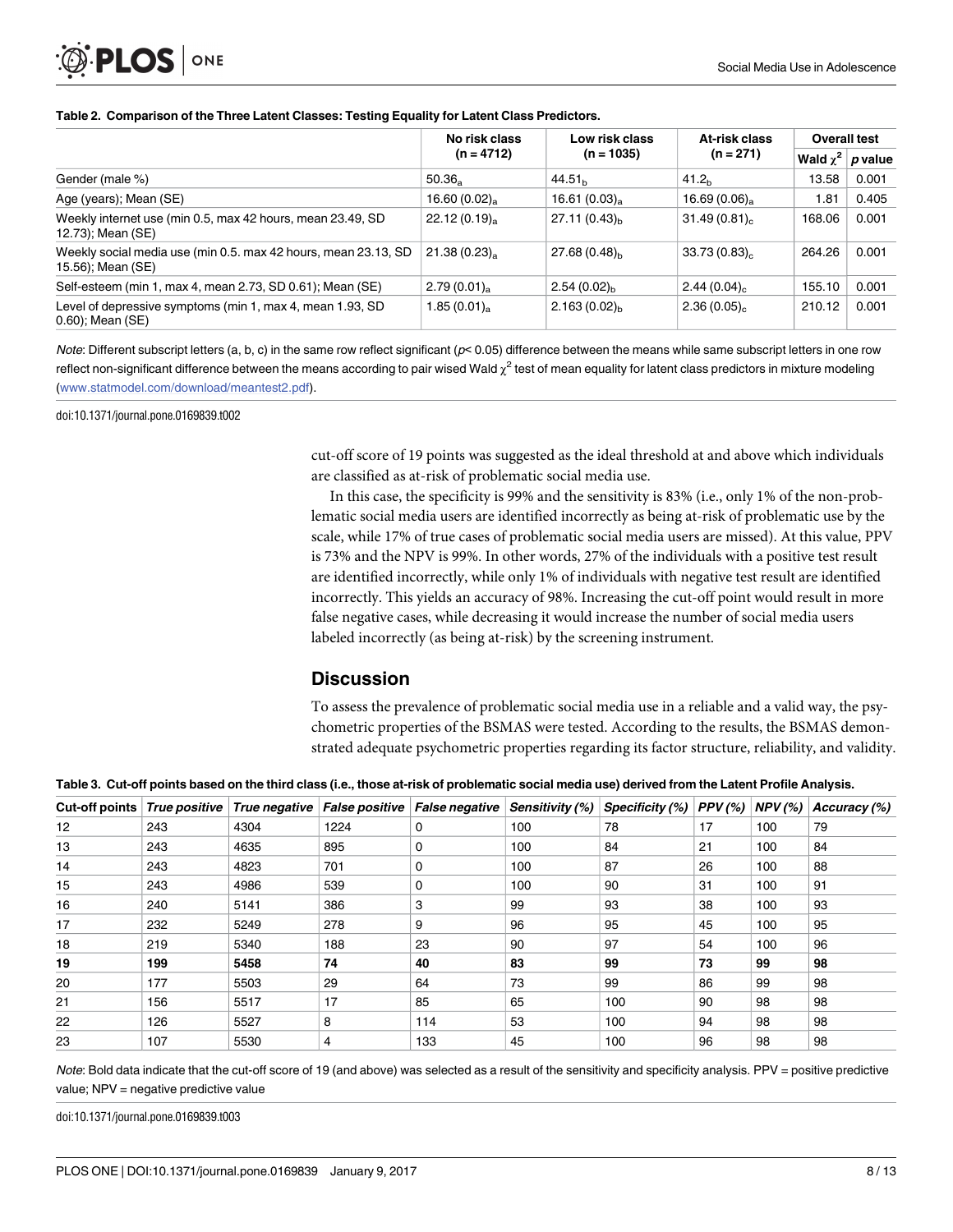#### <span id="page-7-0"></span>**[Table](#page-5-0) 2. Comparison of the Three Latent Classes: Testing Equality for Latent Class Predictors.**

|                                                                                     | No risk class             | Low risk class              | At-risk class              | <b>Overall test</b> |           |
|-------------------------------------------------------------------------------------|---------------------------|-----------------------------|----------------------------|---------------------|-----------|
|                                                                                     | $(n = 4712)$              | $(n = 1035)$<br>$(n = 271)$ |                            | Wald $\chi^2$       | $p$ value |
| Gender (male %)                                                                     | $50.36_a$                 | 44.51 <sub>b</sub>          | 41.2 <sub>b</sub>          | 13.58               | 0.001     |
| Age (years); Mean (SE)                                                              | 16.60 $(0.02)_{\text{a}}$ | $16.61(0.03)$ <sub>a</sub>  | 16.69 $(0.06)_{\text{a}}$  | 1.81                | 0.405     |
| Weekly internet use (min 0.5, max 42 hours, mean 23.49, SD<br>12.73); Mean (SE)     | $22.12(0.19)_{\rm a}$     | $27.11(0.43)_{h}$           | $31.49(0.81)$ <sub>c</sub> | 168.06              | 0.001     |
| Weekly social media use (min 0.5. max 42 hours, mean 23.13, SD<br>15.56); Mean (SE) | 21.38(0.23)               | $27.68(0.48)_{h}$           | 33.73(0.83)                | 264.26              | 0.001     |
| Self-esteem (min 1, max 4, mean 2.73, SD 0.61); Mean (SE)                           | $2.79(0.01)_{\rm a}$      | $2.54(0.02)_{h}$            | 2.44 $(0.04)_{c}$          | 155.10              | 0.001     |
| Level of depressive symptoms (min 1, max 4, mean 1.93, SD<br>$0.60$ ; Mean (SE)     | $1.85(0.01)$ <sub>a</sub> | $2.163(0.02)_{h}$           | 2.36(0.05)                 | 210.12              | 0.001     |

Note: Different subscript letters (a, b, c) in the same row reflect significant (p< 0.05) difference between the means while same subscript letters in one row reflect non-significant difference between the means according to pair wised Wald  $\chi^2$  test of mean equality for latent class predictors in mixture modeling ([www.statmodel.com/download/meantest2.pdf\)](http://www.statmodel.com/download/meantest2.pdf).

doi:10.1371/journal.pone.0169839.t002

cut-off score of 19 points was suggested as the ideal threshold at and above which individuals are classified as at-risk of problematic social media use.

In this case, the specificity is 99% and the sensitivity is 83% (i.e., only 1% of the non-problematic social media users are identified incorrectly as being at-risk of problematic use by the scale, while 17% of true cases of problematic social media users are missed). At this value, PPV is 73% and the NPV is 99%. In other words, 27% of the individuals with a positive test result are identified incorrectly, while only 1% of individuals with negative test result are identified incorrectly. This yields an accuracy of 98%. Increasing the cut-off point would result in more false negative cases, while decreasing it would increase the number of social media users labeled incorrectly (as being at-risk) by the screening instrument.

# **Discussion**

To assess the prevalence of problematic social media use in a reliable and a valid way, the psychometric properties of the BSMAS were tested. According to the results, the BSMAS demonstrated adequate psychometric properties regarding its factor structure, reliability, and validity.

[Table](#page-6-0) 3. Cut-off points based on the third class (i.e., those at-risk of problematic social media use) derived from the Latent Profile Analysis.

| Cut-off points   True positive |     | True negative | <b>False positive</b> | False negative | Sensitivity (%) | Specificity (%) | PPV(%) | $NPV$ (%) | Accuracy (%) |
|--------------------------------|-----|---------------|-----------------------|----------------|-----------------|-----------------|--------|-----------|--------------|
| 12                             | 243 | 4304          | 1224                  | 0              | 100             | 78              | 17     | 100       | 79           |
| 13                             | 243 | 4635          | 895                   | 0              | 100             | 84              | 21     | 100       | 84           |
| 14                             | 243 | 4823          | 701                   | 0              | 100             | 87              | 26     | 100       | 88           |
| 15                             | 243 | 4986          | 539                   | 0              | 100             | 90              | 31     | 100       | 91           |
| 16                             | 240 | 5141          | 386                   | 3              | 99              | 93              | 38     | 100       | 93           |
| 17                             | 232 | 5249          | 278                   | 9              | 96              | 95              | 45     | 100       | 95           |
| 18                             | 219 | 5340          | 188                   | 23             | 90              | 97              | 54     | 100       | 96           |
| 19                             | 199 | 5458          | 74                    | 40             | 83              | 99              | 73     | 99        | 98           |
| 20                             | 177 | 5503          | 29                    | 64             | 73              | 99              | 86     | 99        | 98           |
| 21                             | 156 | 5517          | 17                    | 85             | 65              | 100             | 90     | 98        | 98           |
| 22                             | 126 | 5527          | 8                     | 114            | 53              | 100             | 94     | 98        | 98           |
| 23                             | 107 | 5530          | 4                     | 133            | 45              | 100             | 96     | 98        | 98           |

Note: Bold data indicate that the cut-off score of 19 (and above) was selected as a result of the sensitivity and specificity analysis. PPV = positive predictive value; NPV = negative predictive value

doi:10.1371/journal.pone.0169839.t003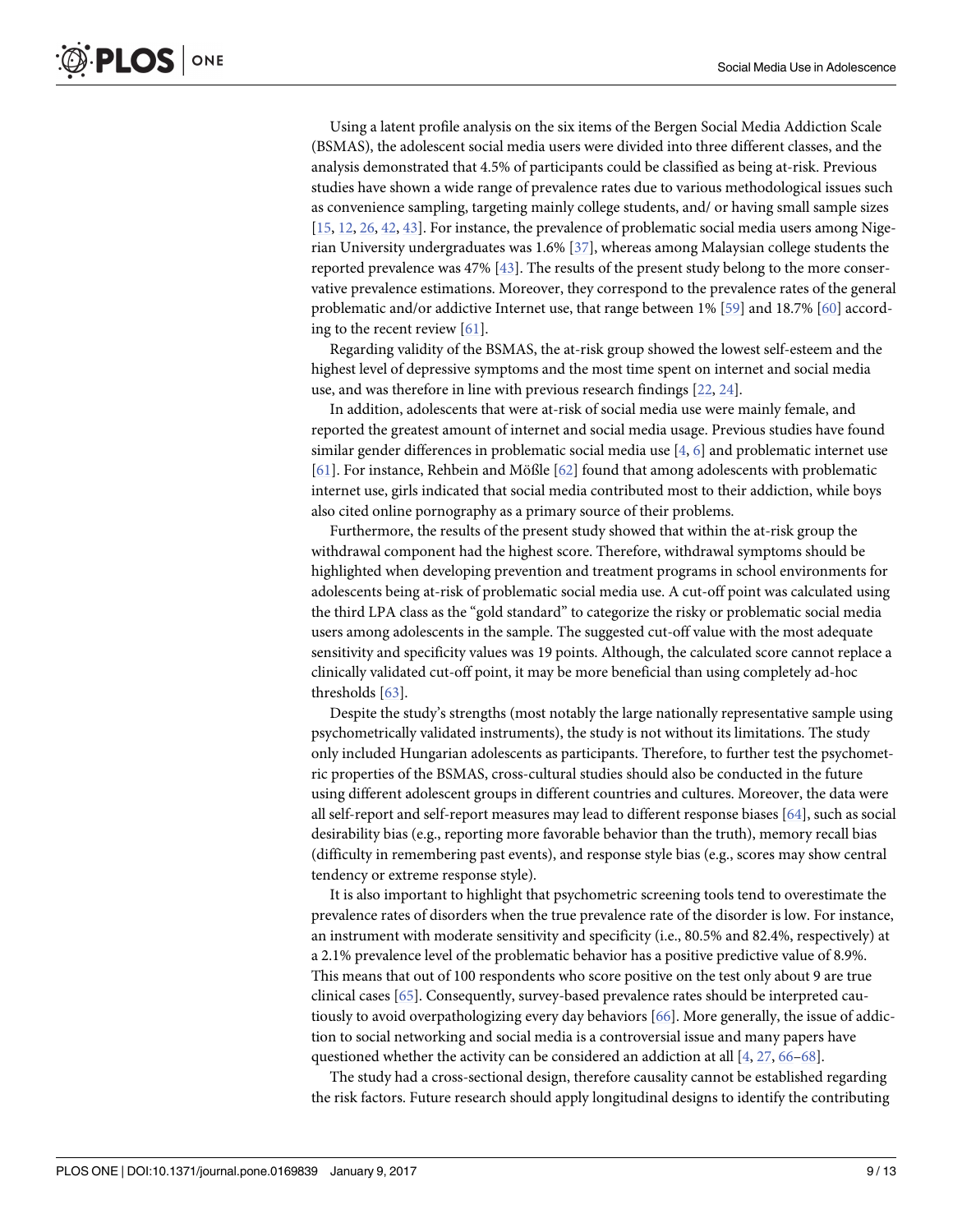<span id="page-8-0"></span>Using a latent profile analysis on the six items of the Bergen Social Media Addiction Scale (BSMAS), the adolescent social media users were divided into three different classes, and the analysis demonstrated that 4.5% of participants could be classified as being at-risk. Previous studies have shown a wide range of prevalence rates due to various methodological issues such as convenience sampling, targeting mainly college students, and/ or having small sample sizes [\[15,](#page-10-0) [12,](#page-10-0) [26,](#page-11-0) [42,](#page-11-0) [43](#page-11-0)]. For instance, the prevalence of problematic social media users among Nigerian University undergraduates was 1.6% [[37](#page-11-0)], whereas among Malaysian college students the reported prevalence was 47% [\[43\]](#page-11-0). The results of the present study belong to the more conservative prevalence estimations. Moreover, they correspond to the prevalence rates of the general problematic and/or addictive Internet use, that range between 1% [\[59\]](#page-12-0) and 18.7% [\[60\]](#page-12-0) according to the recent review [[61](#page-12-0)].

Regarding validity of the BSMAS, the at-risk group showed the lowest self-esteem and the highest level of depressive symptoms and the most time spent on internet and social media use, and was therefore in line with previous research findings [\[22,](#page-10-0) [24\]](#page-11-0).

In addition, adolescents that were at-risk of social media use were mainly female, and reported the greatest amount of internet and social media usage. Previous studies have found similar gender differences in problematic social media use [\[4,](#page-10-0) [6](#page-10-0)] and problematic internet use [\[61\]](#page-12-0). For instance, Rehbein and Mößle [[62](#page-12-0)] found that among adolescents with problematic internet use, girls indicated that social media contributed most to their addiction, while boys also cited online pornography as a primary source of their problems.

Furthermore, the results of the present study showed that within the at-risk group the withdrawal component had the highest score. Therefore, withdrawal symptoms should be highlighted when developing prevention and treatment programs in school environments for adolescents being at-risk of problematic social media use. A cut-off point was calculated using the third LPA class as the "gold standard" to categorize the risky or problematic social media users among adolescents in the sample. The suggested cut-off value with the most adequate sensitivity and specificity values was 19 points. Although, the calculated score cannot replace a clinically validated cut-off point, it may be more beneficial than using completely ad-hoc thresholds [\[63\]](#page-12-0).

Despite the study's strengths (most notably the large nationally representative sample using psychometrically validated instruments), the study is not without its limitations. The study only included Hungarian adolescents as participants. Therefore, to further test the psychometric properties of the BSMAS, cross-cultural studies should also be conducted in the future using different adolescent groups in different countries and cultures. Moreover, the data were all self-report and self-report measures may lead to different response biases [[64](#page-12-0)], such as social desirability bias (e.g., reporting more favorable behavior than the truth), memory recall bias (difficulty in remembering past events), and response style bias (e.g., scores may show central tendency or extreme response style).

It is also important to highlight that psychometric screening tools tend to overestimate the prevalence rates of disorders when the true prevalence rate of the disorder is low. For instance, an instrument with moderate sensitivity and specificity (i.e., 80.5% and 82.4%, respectively) at a 2.1% prevalence level of the problematic behavior has a positive predictive value of 8.9%. This means that out of 100 respondents who score positive on the test only about 9 are true clinical cases [\[65\]](#page-12-0). Consequently, survey-based prevalence rates should be interpreted cautiously to avoid overpathologizing every day behaviors [[66](#page-12-0)]. More generally, the issue of addiction to social networking and social media is a controversial issue and many papers have questioned whether the activity can be considered an addiction at all [\[4,](#page-10-0) [27,](#page-11-0) [66–68\]](#page-12-0).

The study had a cross-sectional design, therefore causality cannot be established regarding the risk factors. Future research should apply longitudinal designs to identify the contributing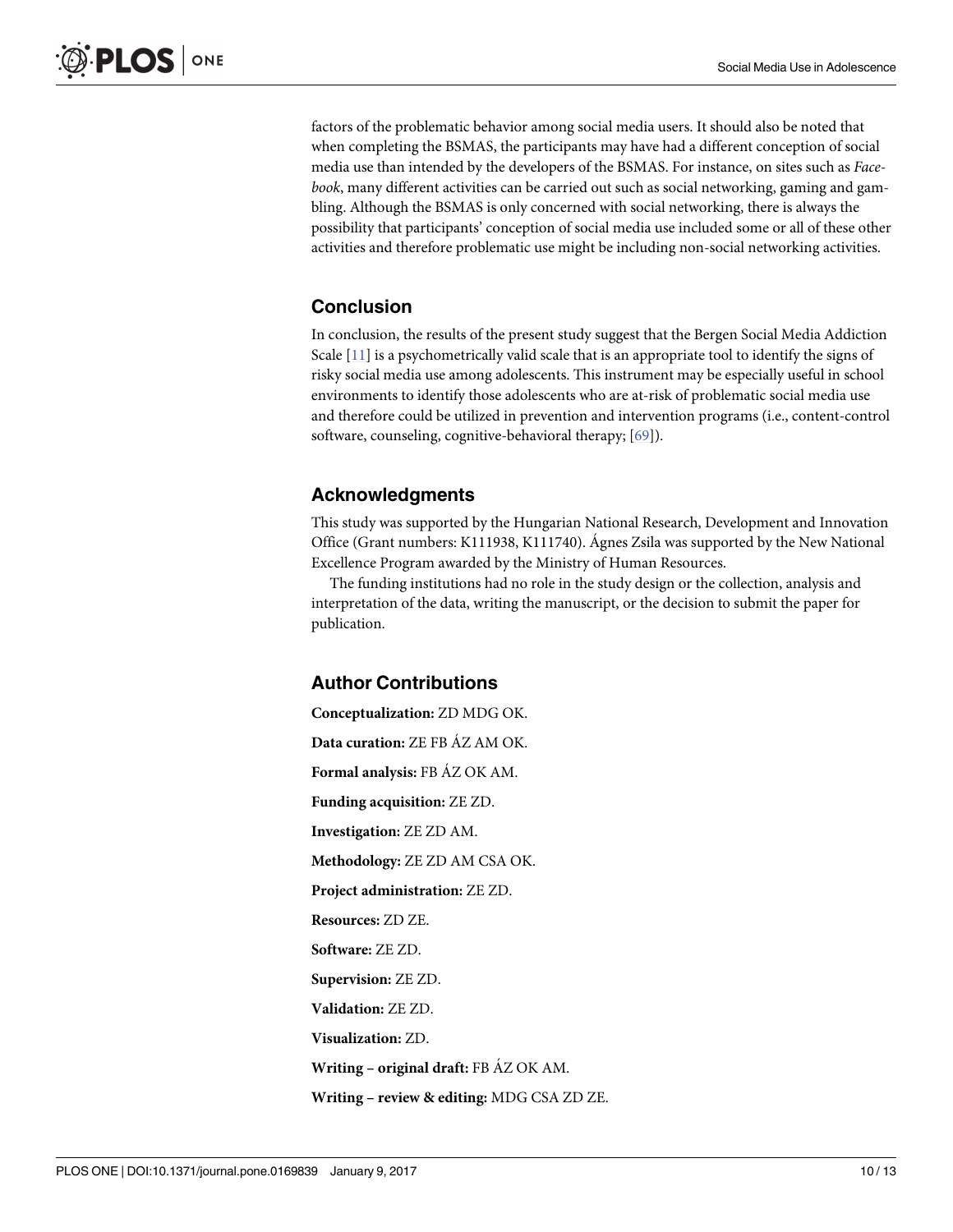<span id="page-9-0"></span>factors of the problematic behavior among social media users. It should also be noted that when completing the BSMAS, the participants may have had a different conception of social media use than intended by the developers of the BSMAS. For instance, on sites such as *Facebook*, many different activities can be carried out such as social networking, gaming and gambling. Although the BSMAS is only concerned with social networking, there is always the possibility that participants' conception of social media use included some or all of these other activities and therefore problematic use might be including non-social networking activities.

# **Conclusion**

In conclusion, the results of the present study suggest that the Bergen Social Media Addiction Scale [[11](#page-10-0)] is a psychometrically valid scale that is an appropriate tool to identify the signs of risky social media use among adolescents. This instrument may be especially useful in school environments to identify those adolescents who are at-risk of problematic social media use and therefore could be utilized in prevention and intervention programs (i.e., content-control software, counseling, cognitive-behavioral therapy; [[69](#page-12-0)]).

# **Acknowledgments**

This study was supported by the Hungarian National Research, Development and Innovation Office (Grant numbers: K111938, K111740). Agnes Zsila was supported by the New National Excellence Program awarded by the Ministry of Human Resources.

The funding institutions had no role in the study design or the collection, analysis and interpretation of the data, writing the manuscript, or the decision to submit the paper for publication.

# **Author Contributions**

**Conceptualization:** ZD MDG OK. **Data curation:** ZE FB A´Z AM OK. **Formal analysis:** FB A´Z OK AM. **Funding acquisition:** ZE ZD. **Investigation:** ZE ZD AM. **Methodology:** ZE ZD AM CSA OK. **Project administration:** ZE ZD. **Resources:** ZD ZE. **Software:** ZE ZD. **Supervision:** ZE ZD. **Validation:** ZE ZD. **Visualization:** ZD. **Writing – original draft:** FB A´Z OK AM. **Writing – review & editing:** MDG CSA ZD ZE.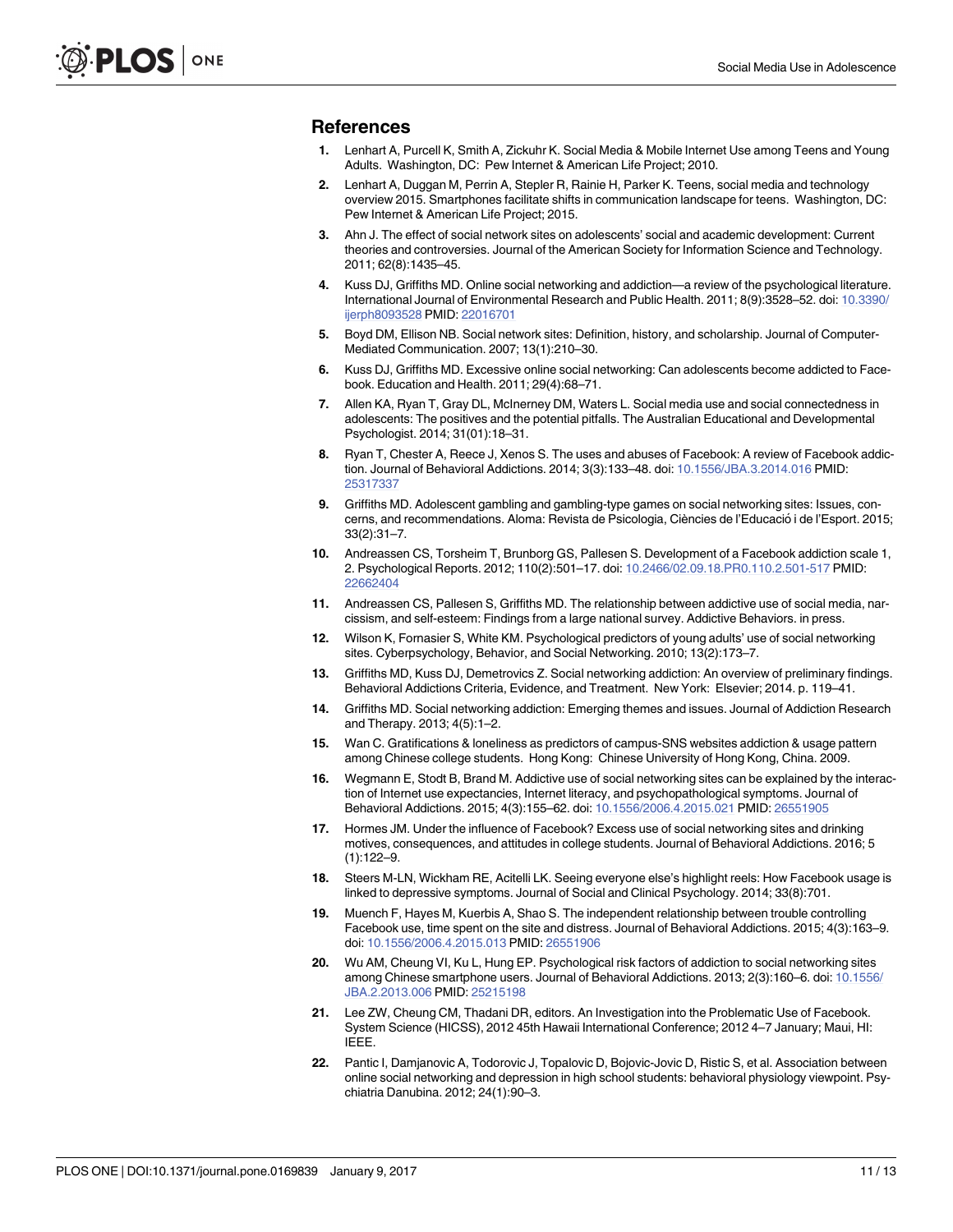#### <span id="page-10-0"></span>**References**

- **[1](#page-0-0).** Lenhart A, Purcell K, Smith A, Zickuhr K. Social Media & Mobile Internet Use among Teens and Young Adults. Washington, DC: Pew Internet & American Life Project; 2010.
- **[2](#page-0-0).** Lenhart A, Duggan M, Perrin A, Stepler R, Rainie H, Parker K. Teens, social media and technology overview 2015. Smartphones facilitate shifts in communication landscape for teens. Washington, DC: Pew Internet & American Life Project; 2015.
- **[3](#page-0-0).** Ahn J. The effect of social network sites on adolescents' social and academic development: Current theories and controversies. Journal of the American Society for Information Science and Technology. 2011; 62(8):1435–45.
- **[4](#page-0-0).** Kuss DJ, Griffiths MD. Online social networking and addiction—a review of the psychological literature. International Journal of Environmental Research and Public Health. 2011; 8(9):3528–52. doi: [10.3390/](http://dx.doi.org/10.3390/ijerph8093528) [ijerph8093528](http://dx.doi.org/10.3390/ijerph8093528) PMID: [22016701](http://www.ncbi.nlm.nih.gov/pubmed/22016701)
- **[5](#page-1-0).** Boyd DM, Ellison NB. Social network sites: Definition, history, and scholarship. Journal of Computer-Mediated Communication. 2007; 13(1):210–30.
- **[6](#page-0-0).** Kuss DJ, Griffiths MD. Excessive online social networking: Can adolescents become addicted to Facebook. Education and Health. 2011; 29(4):68–71.
- **[7](#page-0-0).** Allen KA, Ryan T, Gray DL, McInerney DM, Waters L. Social media use and social connectedness in adolescents: The positives and the potential pitfalls. The Australian Educational and Developmental Psychologist. 2014; 31(01):18–31.
- **[8](#page-1-0).** Ryan T, Chester A, Reece J, Xenos S. The uses and abuses of Facebook: A review of Facebook addiction. Journal of Behavioral Addictions. 2014; 3(3):133–48. doi: [10.1556/JBA.3.2014.016](http://dx.doi.org/10.1556/JBA.3.2014.016) PMID: [25317337](http://www.ncbi.nlm.nih.gov/pubmed/25317337)
- **[9](#page-0-0).** Griffiths MD. Adolescent gambling and gambling-type games on social networking sites: Issues, concerns, and recommendations. Aloma: Revista de Psicologia, Ciències de l'Educació i de l'Esport. 2015; 33(2):31–7.
- **[10](#page-0-0).** Andreassen CS, Torsheim T, Brunborg GS, Pallesen S. Development of a Facebook addiction scale 1, 2. Psychological Reports. 2012; 110(2):501–17. doi: [10.2466/02.09.18.PR0.110.2.501-517](http://dx.doi.org/10.2466/02.09.18.PR0.110.2.501-517) PMID: [22662404](http://www.ncbi.nlm.nih.gov/pubmed/22662404)
- **[11](#page-1-0).** Andreassen CS, Pallesen S, Griffiths MD. The relationship between addictive use of social media, narcissism, and self-esteem: Findings from a large national survey. Addictive Behaviors. in press.
- **[12](#page-2-0).** Wilson K, Fornasier S, White KM. Psychological predictors of young adults' use of social networking sites. Cyberpsychology, Behavior, and Social Networking. 2010; 13(2):173–7.
- **[13](#page-1-0).** Griffiths MD, Kuss DJ, Demetrovics Z. Social networking addiction: An overview of preliminary findings. Behavioral Addictions Criteria, Evidence, and Treatment. New York: Elsevier; 2014. p. 119–41.
- **[14](#page-0-0).** Griffiths MD. Social networking addiction: Emerging themes and issues. Journal of Addiction Research and Therapy. 2013; 4(5):1–2.
- **[15](#page-1-0).** Wan C. Gratifications & loneliness as predictors of campus-SNS websites addiction & usage pattern among Chinese college students. Hong Kong: Chinese University of Hong Kong, China. 2009.
- **[16](#page-1-0).** Wegmann E, Stodt B, Brand M. Addictive use of social networking sites can be explained by the interaction of Internet use expectancies, Internet literacy, and psychopathological symptoms. Journal of Behavioral Addictions. 2015; 4(3):155–62. doi: [10.1556/2006.4.2015.021](http://dx.doi.org/10.1556/2006.4.2015.021) PMID: [26551905](http://www.ncbi.nlm.nih.gov/pubmed/26551905)
- **[17](#page-1-0).** Hormes JM. Under the influence of Facebook? Excess use of social networking sites and drinking motives, consequences, and attitudes in college students. Journal of Behavioral Addictions. 2016; 5 (1):122–9.
- **18.** Steers M-LN, Wickham RE, Acitelli LK. Seeing everyone else's highlight reels: How Facebook usage is linked to depressive symptoms. Journal of Social and Clinical Psychology. 2014; 33(8):701.
- **19.** Muench F, Hayes M, Kuerbis A, Shao S. The independent relationship between trouble controlling Facebook use, time spent on the site and distress. Journal of Behavioral Addictions. 2015; 4(3):163–9. doi: [10.1556/2006.4.2015.013](http://dx.doi.org/10.1556/2006.4.2015.013) PMID: [26551906](http://www.ncbi.nlm.nih.gov/pubmed/26551906)
- **[20](#page-1-0).** Wu AM, Cheung VI, Ku L, Hung EP. Psychological risk factors of addiction to social networking sites among Chinese smartphone users. Journal of Behavioral Addictions. 2013; 2(3):160–6. doi: [10.1556/](http://dx.doi.org/10.1556/JBA.2.2013.006) [JBA.2.2013.006](http://dx.doi.org/10.1556/JBA.2.2013.006) PMID: [25215198](http://www.ncbi.nlm.nih.gov/pubmed/25215198)
- **[21](#page-1-0).** Lee ZW, Cheung CM, Thadani DR, editors. An Investigation into the Problematic Use of Facebook. System Science (HICSS), 2012 45th Hawaii International Conference; 2012 4–7 January; Maui, HI: IEEE.
- **[22](#page-1-0).** Pantic I, Damjanovic A, Todorovic J, Topalovic D, Bojovic-Jovic D, Ristic S, et al. Association between online social networking and depression in high school students: behavioral physiology viewpoint. Psychiatria Danubina. 2012; 24(1):90–3.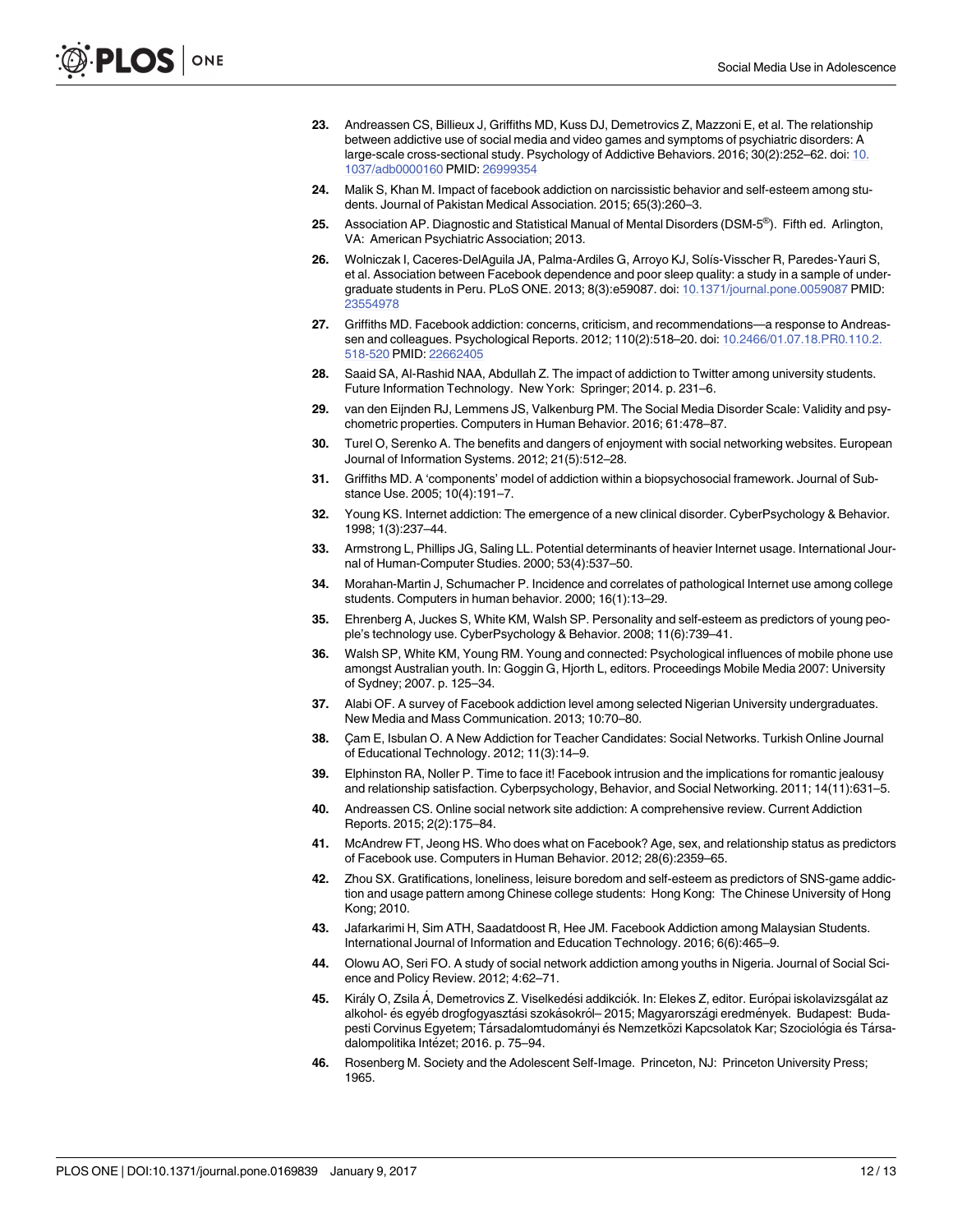- <span id="page-11-0"></span>**[23](#page-1-0).** Andreassen CS, Billieux J, Griffiths MD, Kuss DJ, Demetrovics Z, Mazzoni E, et al. The relationship between addictive use of social media and video games and symptoms of psychiatric disorders: A large-scale cross-sectional study. Psychology of Addictive Behaviors. 2016; 30(2):252–62. doi: [10.](http://dx.doi.org/10.1037/adb0000160) [1037/adb0000160](http://dx.doi.org/10.1037/adb0000160) PMID: [26999354](http://www.ncbi.nlm.nih.gov/pubmed/26999354)
- **[24](#page-1-0).** Malik S, Khan M. Impact of facebook addiction on narcissistic behavior and self-esteem among students. Journal of Pakistan Medical Association. 2015; 65(3):260–3.
- **[25](#page-1-0).** Association AP. Diagnostic and Statistical Manual of Mental Disorders (DSM-5®). Fifth ed. Arlington, VA: American Psychiatric Association; 2013.
- **[26](#page-1-0).** Wolniczak I, Caceres-DelAguila JA, Palma-Ardiles G, Arroyo KJ, Solı´s-Visscher R, Paredes-Yauri S, et al. Association between Facebook dependence and poor sleep quality: a study in a sample of undergraduate students in Peru. PLoS ONE. 2013; 8(3):e59087. doi: [10.1371/journal.pone.0059087](http://dx.doi.org/10.1371/journal.pone.0059087) PMID: [23554978](http://www.ncbi.nlm.nih.gov/pubmed/23554978)
- **[27](#page-1-0).** Griffiths MD. Facebook addiction: concerns, criticism, and recommendations—a response to Andreassen and colleagues. Psychological Reports. 2012; 110(2):518–20. doi: [10.2466/01.07.18.PR0.110.2.](http://dx.doi.org/10.2466/01.07.18.PR0.110.2.518-520) [518-520](http://dx.doi.org/10.2466/01.07.18.PR0.110.2.518-520) PMID: [22662405](http://www.ncbi.nlm.nih.gov/pubmed/22662405)
- **[28](#page-1-0).** Saaid SA, Al-Rashid NAA, Abdullah Z. The impact of addiction to Twitter among university students. Future Information Technology. New York: Springer; 2014. p. 231–6.
- **[29](#page-1-0).** van den Eijnden RJ, Lemmens JS, Valkenburg PM. The Social Media Disorder Scale: Validity and psychometric properties. Computers in Human Behavior. 2016; 61:478–87.
- **[30](#page-1-0).** Turel O, Serenko A. The benefits and dangers of enjoyment with social networking websites. European Journal of Information Systems. 2012; 21(5):512–28.
- **[31](#page-1-0).** Griffiths MD. A 'components' model of addiction within a biopsychosocial framework. Journal of Substance Use. 2005; 10(4):191–7.
- **[32](#page-1-0).** Young KS. Internet addiction: The emergence of a new clinical disorder. CyberPsychology & Behavior. 1998; 1(3):237–44.
- **33.** Armstrong L, Phillips JG, Saling LL. Potential determinants of heavier Internet usage. International Journal of Human-Computer Studies. 2000; 53(4):537–50.
- **[34](#page-1-0).** Morahan-Martin J, Schumacher P. Incidence and correlates of pathological Internet use among college students. Computers in human behavior. 2000; 16(1):13–29.
- **[35](#page-1-0).** Ehrenberg A, Juckes S, White KM, Walsh SP. Personality and self-esteem as predictors of young people's technology use. CyberPsychology & Behavior. 2008; 11(6):739–41.
- **[36](#page-1-0).** Walsh SP, White KM, Young RM. Young and connected: Psychological influences of mobile phone use amongst Australian youth. In: Goggin G, Hjorth L, editors. Proceedings Mobile Media 2007: University of Sydney; 2007. p. 125–34.
- **[37](#page-1-0).** Alabi OF. A survey of Facebook addiction level among selected Nigerian University undergraduates. New Media and Mass Communication. 2013; 10:70–80.
- **[38](#page-1-0).** Cam E, Isbulan O. A New Addiction for Teacher Candidates: Social Networks. Turkish Online Journal of Educational Technology. 2012; 11(3):14–9.
- **[39](#page-1-0).** Elphinston RA, Noller P. Time to face it! Facebook intrusion and the implications for romantic jealousy and relationship satisfaction. Cyberpsychology, Behavior, and Social Networking. 2011; 14(11):631–5.
- **[40](#page-2-0).** Andreassen CS. Online social network site addiction: A comprehensive review. Current Addiction Reports. 2015; 2(2):175–84.
- **[41](#page-2-0).** McAndrew FT, Jeong HS. Who does what on Facebook? Age, sex, and relationship status as predictors of Facebook use. Computers in Human Behavior. 2012; 28(6):2359–65.
- **[42](#page-2-0).** Zhou SX. Gratifications, loneliness, leisure boredom and self-esteem as predictors of SNS-game addiction and usage pattern among Chinese college students: Hong Kong: The Chinese University of Hong Kong; 2010.
- **[43](#page-2-0).** Jafarkarimi H, Sim ATH, Saadatdoost R, Hee JM. Facebook Addiction among Malaysian Students. International Journal of Information and Education Technology. 2016; 6(6):465–9.
- **[44](#page-2-0).** Olowu AO, Seri FO. A study of social network addiction among youths in Nigeria. Journal of Social Science and Policy Review. 2012; 4:62–71.
- **[45](#page-2-0).** Király O, Zsila Á, Demetrovics Z. Viselkedési addikciók. In: Elekes Z, editor. Európai iskolavizsgálat az alkohol- és egyéb drogfogyasztási szokásokról- 2015; Magyarországi eredmények. Budapest: Budapesti Corvinus Egyetem; Társadalomtudományi és Nemzetközi Kapcsolatok Kar; Szociológia és Társadalompolitika Intézet; 2016. p. 75–94.
- **[46](#page-4-0).** Rosenberg M. Society and the Adolescent Self-Image. Princeton, NJ: Princeton University Press; 1965.